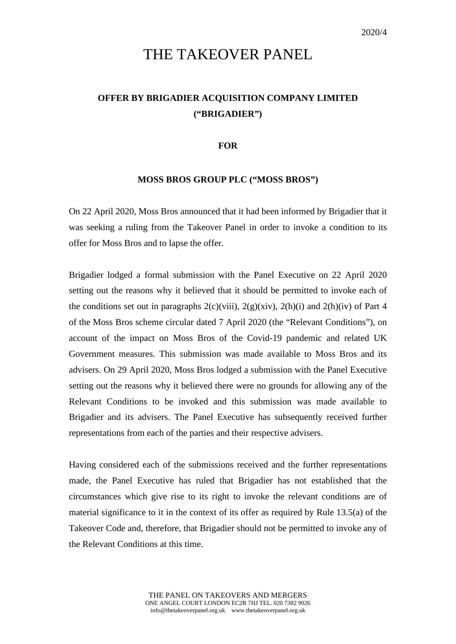## THE TAKEOVER PANEL

## **OFFER BY BRIGADIER ACQUISITION COMPANY LIMITED ("BRIGADIER")**

## **FOR**

## **MOSS BROS GROUP PLC ("MOSS BROS")**

On 22 April 2020, Moss Bros announced that it had been informed by Brigadier that it was seeking a ruling from the Takeover Panel in order to invoke a condition to its offer for Moss Bros and to lapse the offer.

Brigadier lodged a formal submission with the Panel Executive on 22 April 2020 setting out the reasons why it believed that it should be permitted to invoke each of the conditions set out in paragraphs  $2(c)(viii)$ ,  $2(g)(xiv)$ ,  $2(h)(i)$  and  $2(h)(iv)$  of Part 4 of the Moss Bros scheme circular dated 7 April 2020 (the "Relevant Conditions"), on account of the impact on Moss Bros of the Covid-19 pandemic and related UK Government measures. This submission was made available to Moss Bros and its advisers. On 29 April 2020, Moss Bros lodged a submission with the Panel Executive setting out the reasons why it believed there were no grounds for allowing any of the Relevant Conditions to be invoked and this submission was made available to Brigadier and its advisers. The Panel Executive has subsequently received further representations from each of the parties and their respective advisers.

Having considered each of the submissions received and the further representations made, the Panel Executive has ruled that Brigadier has not established that the circumstances which give rise to its right to invoke the relevant conditions are of material significance to it in the context of its offer as required by Rule 13.5(a) of the Takeover Code and, therefore, that Brigadier should not be permitted to invoke any of the Relevant Conditions at this time.